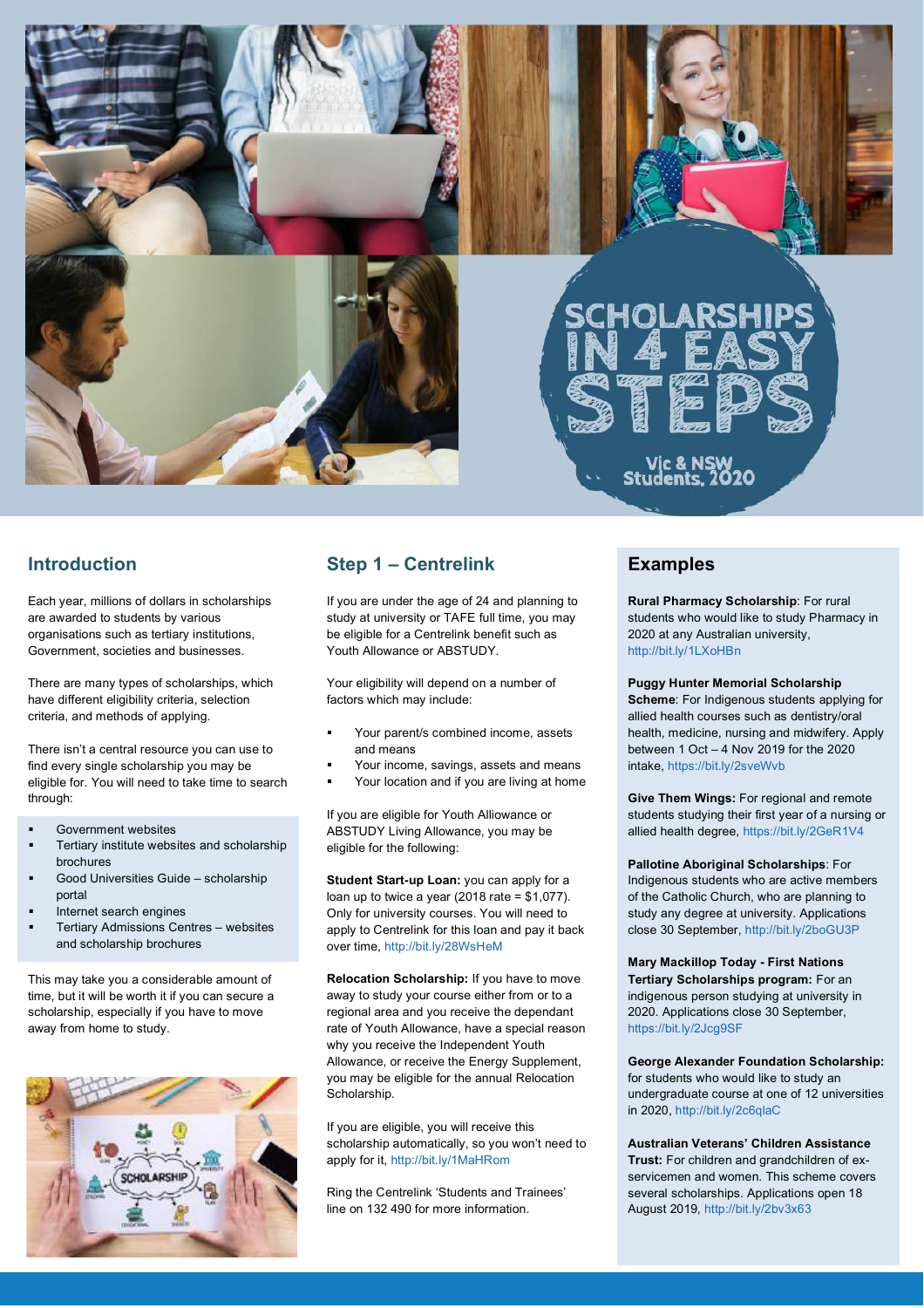



## **Introduction**

Each year, millions of dollars in scholarships are awarded to students by various organisations such as tertiary institutions, Government, societies and businesses.

There are many types of scholarships, which have different eligibility criteria, selection criteria, and methods of applying.

There isn't a central resource you can use to find every single scholarship you may be eligible for. You will need to take time to search through:

- § Government websites
- § Tertiary institute websites and scholarship brochures
- § Good Universities Guide scholarship portal
- § Internet search engines
- § Tertiary Admissions Centres websites and scholarship brochures

This may take you a considerable amount of time, but it will be worth it if you can secure a scholarship, especially if you have to move away from home to study.



## **Step 1 – Centrelink**

If you are under the age of 24 and planning to study at university or TAFE full time, you may be eligible for a Centrelink benefit such as Youth Allowance or ABSTUDY.

Your eligibility will depend on a number of factors which may include:

- § Your parent/s combined income, assets and means
- § Your income, savings, assets and means
- Your location and if you are living at home

If you are eligible for Youth Alliowance or ABSTUDY Living Allowance, you may be eligible for the following:

**Student Start-up Loan:** you can apply for a loan up to twice a year  $(2018 \text{ rate} = $1,077)$ . Only for university courses. You will need to apply to Centrelink for this loan and pay it back over time, http://bit.ly/28WsHeM

**Relocation Scholarship:** If you have to move away to study your course either from or to a regional area and you receive the dependant rate of Youth Allowance, have a special reason why you receive the Independent Youth Allowance, or receive the Energy Supplement, you may be eligible for the annual Relocation Scholarship.

If you are eligible, you will receive this scholarship automatically, so you won't need to apply for it, http://bit.ly/1MaHRom

Ring the Centrelink 'Students and Trainees' line on 132 490 for more information.

### **Examples**

**Rural Pharmacy Scholarship**: For rural students who would like to study Pharmacy in 2020 at any Australian university, http://bit.ly/1LXoHBn

**Puggy Hunter Memorial Scholarship Scheme**: For Indigenous students applying for allied health courses such as dentistry/oral health, medicine, nursing and midwifery. Apply between 1 Oct – 4 Nov 2019 for the 2020 intake, https://bit.ly/2sveWvb

**Give Them Wings:** For regional and remote students studying their first year of a nursing or allied health degree, https://bit.ly/2GeR1V4

**Pallotine Aboriginal Scholarships**: For Indigenous students who are active members of the Catholic Church, who are planning to study any degree at university. Applications close 30 September, http://bit.ly/2boGU3P

**Mary Mackillop Today - First Nations Tertiary Scholarships program:** For an indigenous person studying at university in 2020. Applications close 30 September, https://bit.ly/2Jcg9SF

**George Alexander Foundation Scholarship:** for students who would like to study an undergraduate course at one of 12 universities in 2020, http://bit.ly/2c6qlaC

**Australian Veterans' Children Assistance Trust:** For children and grandchildren of exservicemen and women. This scheme covers several scholarships. Applications open 18 August 2019, http://bit.ly/2bv3x63